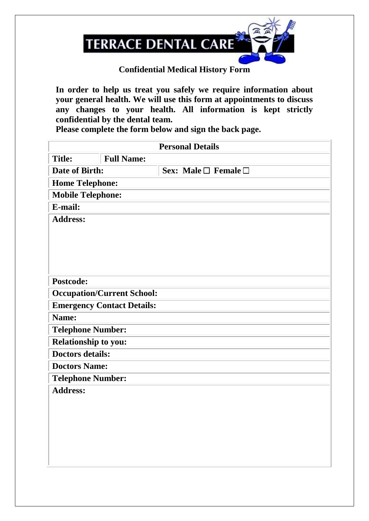

## **Confidential Medical History Form**

**In order to help us treat you safely we require information about your general health. We will use this form at appointments to discuss any changes to your health. All information is kept strictly confidential by the dental team.**

**Please complete the form below and sign the back page.**

| <b>Personal Details</b>                                                |                          |                                |  |  |  |  |
|------------------------------------------------------------------------|--------------------------|--------------------------------|--|--|--|--|
| <b>Title:</b>                                                          | <b>Full Name:</b>        |                                |  |  |  |  |
| Date of Birth:                                                         |                          | Sex: Male $\Box$ Female $\Box$ |  |  |  |  |
|                                                                        | <b>Home Telephone:</b>   |                                |  |  |  |  |
| <b>Mobile Telephone:</b>                                               |                          |                                |  |  |  |  |
| E-mail:                                                                |                          |                                |  |  |  |  |
| <b>Address:</b>                                                        |                          |                                |  |  |  |  |
|                                                                        |                          |                                |  |  |  |  |
|                                                                        |                          |                                |  |  |  |  |
|                                                                        |                          |                                |  |  |  |  |
|                                                                        |                          |                                |  |  |  |  |
| Postcode:                                                              |                          |                                |  |  |  |  |
|                                                                        |                          |                                |  |  |  |  |
| <b>Occupation/Current School:</b><br><b>Emergency Contact Details:</b> |                          |                                |  |  |  |  |
| Name:                                                                  |                          |                                |  |  |  |  |
|                                                                        | <b>Telephone Number:</b> |                                |  |  |  |  |
| <b>Relationship to you:</b>                                            |                          |                                |  |  |  |  |
| <b>Doctors details:</b>                                                |                          |                                |  |  |  |  |
| <b>Doctors Name:</b>                                                   |                          |                                |  |  |  |  |
|                                                                        |                          |                                |  |  |  |  |
| <b>Telephone Number:</b><br><b>Address:</b>                            |                          |                                |  |  |  |  |
|                                                                        |                          |                                |  |  |  |  |
|                                                                        |                          |                                |  |  |  |  |
|                                                                        |                          |                                |  |  |  |  |
|                                                                        |                          |                                |  |  |  |  |
|                                                                        |                          |                                |  |  |  |  |
|                                                                        |                          |                                |  |  |  |  |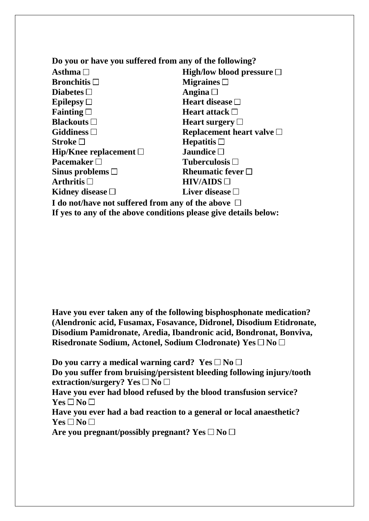| Do you or have you suffered from any of the following?  |                                   |  |  |  |  |
|---------------------------------------------------------|-----------------------------------|--|--|--|--|
| Asthma $\square$                                        | High/low blood pressure $\Box$    |  |  |  |  |
| <b>Bronchitis</b> $\Box$                                | Migraines $\Box$                  |  |  |  |  |
| Diabetes $\Box$                                         | Angina $\square$                  |  |  |  |  |
| Epilepsy $\Box$                                         | Heart disease $\Box$              |  |  |  |  |
| Fainting $\square$                                      | <b>Heart attack</b> $\Box$        |  |  |  |  |
| <b>Blackouts</b> $\Box$                                 | Heart surgery $\Box$              |  |  |  |  |
| Giddiness $\square$                                     | Replacement heart valve $\square$ |  |  |  |  |
| Stroke $\square$                                        | Hepatitis $\Box$                  |  |  |  |  |
| Hip/Knee replacement $\Box$                             | Jaundice $\square$                |  |  |  |  |
| <b>Pacemaker</b> $\Box$                                 | Tuberculosis $\Box$               |  |  |  |  |
| Sinus problems $\Box$                                   | Rheumatic fever $\Box$            |  |  |  |  |
| Arthritis $\Box$                                        | HIV/AIDS                          |  |  |  |  |
| Kidney disease $\Box$                                   | Liver disease $\square$           |  |  |  |  |
| I do not/have not suffered from any of the above $\Box$ |                                   |  |  |  |  |

**If yes to any of the above conditions please give details below:**

**Have you ever taken any of the following bisphosphonate medication? (Alendronic acid, Fusamax, Fosavance, Didronel, Disodium Etidronate, Disodium Pamidronate, Aredia, Ibandronic acid, Bondronat, Bonviva,**  Risedronate Sodium, Actonel, Sodium Clodronate) Yes □ No □

Do you carry a medical warning card? Yes  $\square$  No  $\square$ **Do you suffer from bruising/persistent bleeding following injury/tooth extraction/surgery?** Yes  $\square$  No  $\square$ **Have you ever had blood refused by the blood transfusion service?**  $Yes \Box No \Box$ 

**Have you ever had a bad reaction to a general or local anaesthetic?**  $Yes \Box No \Box$ 

Are you pregnant/possibly pregnant? Yes  $\square$  No  $\square$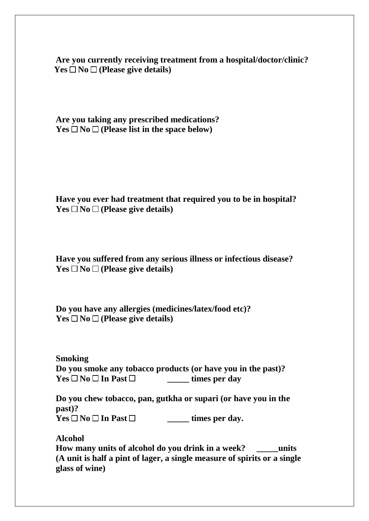**Are you currently receiving treatment from a hospital/doctor/clinic?**   $Yes \Box No \Box (Please give details)$ 

**Are you taking any prescribed medications?**   $Yes \Box No \Box (Please list in the space below)$ 

**Have you ever had treatment that required you to be in hospital?**   $Yes \Box No \Box (Please give details)$ 

**Have you suffered from any serious illness or infectious disease?**   $Yes \Box No \Box (Please give details)$ 

**Do you have any allergies (medicines/latex/food etc)?**   $Yes \Box No \Box (Please give details)$ 

**Smoking Do you smoke any tobacco products (or have you in the past)?**  $Yes \Box No \Box In$  Past  $\Box$  **times per day** 

**Do you chew tobacco, pan, gutkha or supari (or have you in the past)?**  $Yes \Box No \Box In \; Past \Box$  **times per day.** 

**Alcohol How many units of alcohol do you drink in a week? \_\_\_\_\_units (A unit is half a pint of lager, a single measure of spirits or a single glass of wine)**